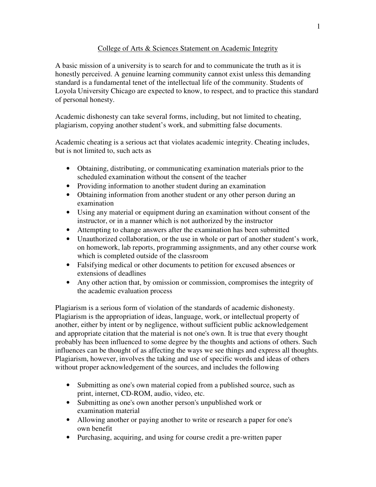## College of Arts & Sciences Statement on Academic Integrity

A basic mission of a university is to search for and to communicate the truth as it is honestly perceived. A genuine learning community cannot exist unless this demanding standard is a fundamental tenet of the intellectual life of the community. Students of Loyola University Chicago are expected to know, to respect, and to practice this standard of personal honesty.

Academic dishonesty can take several forms, including, but not limited to cheating, plagiarism, copying another student's work, and submitting false documents.

Academic cheating is a serious act that violates academic integrity. Cheating includes, but is not limited to, such acts as

- Obtaining, distributing, or communicating examination materials prior to the scheduled examination without the consent of the teacher
- Providing information to another student during an examination
- Obtaining information from another student or any other person during an examination
- Using any material or equipment during an examination without consent of the instructor, or in a manner which is not authorized by the instructor
- Attempting to change answers after the examination has been submitted
- Unauthorized collaboration, or the use in whole or part of another student's work, on homework, lab reports, programming assignments, and any other course work which is completed outside of the classroom
- Falsifying medical or other documents to petition for excused absences or extensions of deadlines
- Any other action that, by omission or commission, compromises the integrity of the academic evaluation process

Plagiarism is a serious form of violation of the standards of academic dishonesty. Plagiarism is the appropriation of ideas, language, work, or intellectual property of another, either by intent or by negligence, without sufficient public acknowledgement and appropriate citation that the material is not one's own. It is true that every thought probably has been influenced to some degree by the thoughts and actions of others. Such influences can be thought of as affecting the ways we see things and express all thoughts. Plagiarism, however, involves the taking and use of specific words and ideas of others without proper acknowledgement of the sources, and includes the following

- Submitting as one's own material copied from a published source, such as print, internet, CD-ROM, audio, video, etc.
- Submitting as one's own another person's unpublished work or examination material
- Allowing another or paying another to write or research a paper for one's own benefit
- Purchasing, acquiring, and using for course credit a pre-written paper